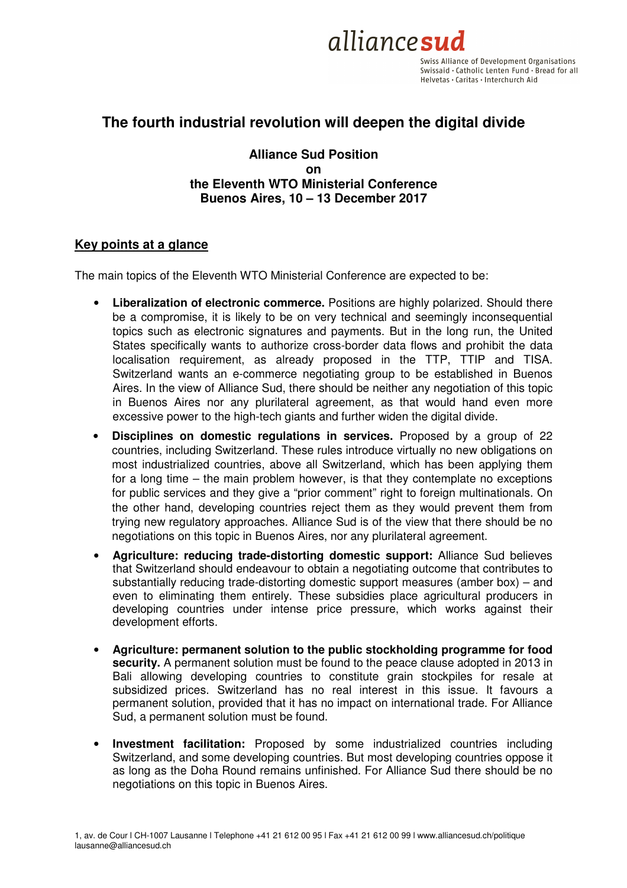

Swiss Alliance of Development Organisations Swissaid · Catholic Lenten Fund · Bread for all Helvetas · Caritas · Interchurch Aid

# **The fourth industrial revolution will deepen the digital divide**

## **Alliance Sud Position on the Eleventh WTO Ministerial Conference Buenos Aires, 10 – 13 December 2017**

## **Key points at a glance**

The main topics of the Eleventh WTO Ministerial Conference are expected to be:

- **Liberalization of electronic commerce.** Positions are highly polarized. Should there be a compromise, it is likely to be on very technical and seemingly inconsequential topics such as electronic signatures and payments. But in the long run, the United States specifically wants to authorize cross-border data flows and prohibit the data localisation requirement, as already proposed in the TTP, TTIP and TISA. Switzerland wants an e-commerce negotiating group to be established in Buenos Aires. In the view of Alliance Sud, there should be neither any negotiation of this topic in Buenos Aires nor any plurilateral agreement, as that would hand even more excessive power to the high-tech giants and further widen the digital divide.
- **Disciplines on domestic regulations in services.** Proposed by a group of 22 countries, including Switzerland. These rules introduce virtually no new obligations on most industrialized countries, above all Switzerland, which has been applying them for a long time – the main problem however, is that they contemplate no exceptions for public services and they give a "prior comment" right to foreign multinationals. On the other hand, developing countries reject them as they would prevent them from trying new regulatory approaches. Alliance Sud is of the view that there should be no negotiations on this topic in Buenos Aires, nor any plurilateral agreement.
- **Agriculture: reducing trade-distorting domestic support:** Alliance Sud believes that Switzerland should endeavour to obtain a negotiating outcome that contributes to substantially reducing trade-distorting domestic support measures (amber box) – and even to eliminating them entirely. These subsidies place agricultural producers in developing countries under intense price pressure, which works against their development efforts.
- **Agriculture: permanent solution to the public stockholding programme for food security.** A permanent solution must be found to the peace clause adopted in 2013 in Bali allowing developing countries to constitute grain stockpiles for resale at subsidized prices. Switzerland has no real interest in this issue. It favours a permanent solution, provided that it has no impact on international trade. For Alliance Sud, a permanent solution must be found.
- **Investment facilitation:** Proposed by some industrialized countries including Switzerland, and some developing countries. But most developing countries oppose it as long as the Doha Round remains unfinished. For Alliance Sud there should be no negotiations on this topic in Buenos Aires.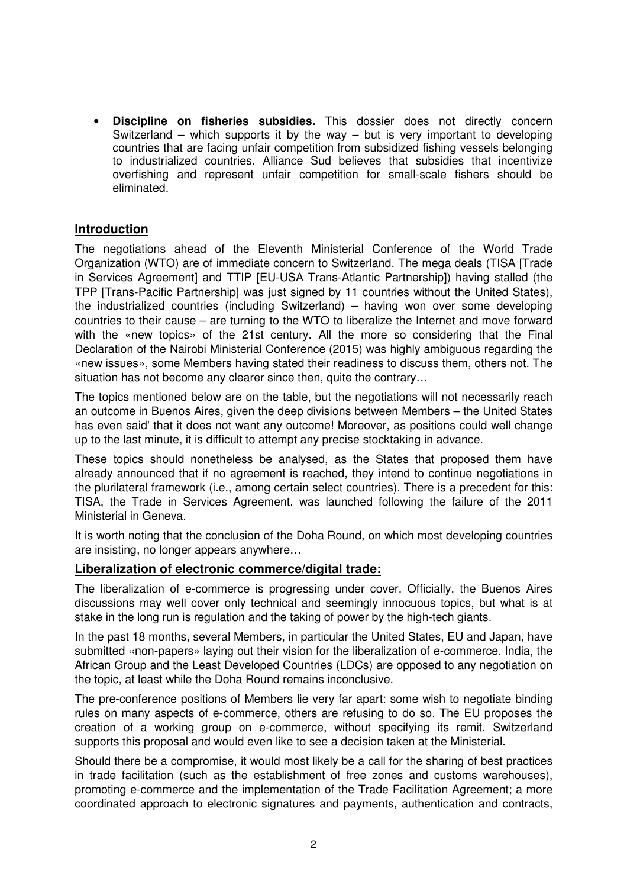• **Discipline on fisheries subsidies.** This dossier does not directly concern Switzerland – which supports it by the way – but is very important to developing countries that are facing unfair competition from subsidized fishing vessels belonging to industrialized countries. Alliance Sud believes that subsidies that incentivize overfishing and represent unfair competition for small-scale fishers should be eliminated.

## **Introduction**

The negotiations ahead of the Eleventh Ministerial Conference of the World Trade Organization (WTO) are of immediate concern to Switzerland. The mega deals (TISA [Trade in Services Agreement] and TTIP [EU-USA Trans-Atlantic Partnership]) having stalled (the TPP [Trans-Pacific Partnership] was just signed by 11 countries without the United States), the industrialized countries (including Switzerland) – having won over some developing countries to their cause – are turning to the WTO to liberalize the Internet and move forward with the «new topics» of the 21st century. All the more so considering that the Final Declaration of the Nairobi Ministerial Conference (2015) was highly ambiguous regarding the «new issues», some Members having stated their readiness to discuss them, others not. The situation has not become any clearer since then, quite the contrary...

The topics mentioned below are on the table, but the negotiations will not necessarily reach an outcome in Buenos Aires, given the deep divisions between Members – the United States has even said' that it does not want any outcome! Moreover, as positions could well change up to the last minute, it is difficult to attempt any precise stocktaking in advance.

These topics should nonetheless be analysed, as the States that proposed them have already announced that if no agreement is reached, they intend to continue negotiations in the plurilateral framework (i.e., among certain select countries). There is a precedent for this: TISA, the Trade in Services Agreement, was launched following the failure of the 2011 Ministerial in Geneva.

It is worth noting that the conclusion of the Doha Round, on which most developing countries are insisting, no longer appears anywhere…

## **Liberalization of electronic commerce/digital trade:**

The liberalization of e-commerce is progressing under cover. Officially, the Buenos Aires discussions may well cover only technical and seemingly innocuous topics, but what is at stake in the long run is regulation and the taking of power by the high-tech giants.

In the past 18 months, several Members, in particular the United States, EU and Japan, have submitted «non-papers» laying out their vision for the liberalization of e-commerce. India, the African Group and the Least Developed Countries (LDCs) are opposed to any negotiation on the topic, at least while the Doha Round remains inconclusive.

The pre-conference positions of Members lie very far apart: some wish to negotiate binding rules on many aspects of e-commerce, others are refusing to do so. The EU proposes the creation of a working group on e-commerce, without specifying its remit. Switzerland supports this proposal and would even like to see a decision taken at the Ministerial.

Should there be a compromise, it would most likely be a call for the sharing of best practices in trade facilitation (such as the establishment of free zones and customs warehouses), promoting e-commerce and the implementation of the Trade Facilitation Agreement; a more coordinated approach to electronic signatures and payments, authentication and contracts,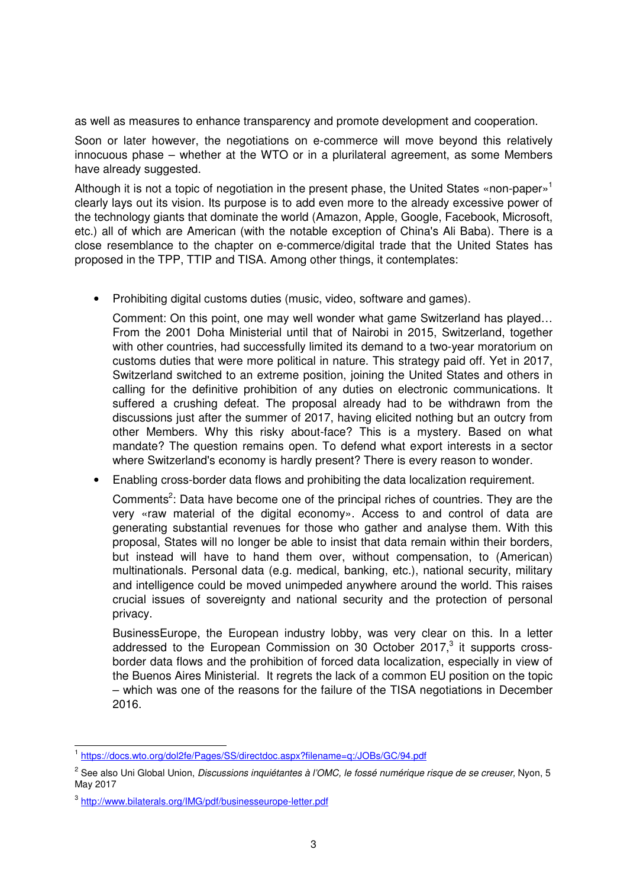as well as measures to enhance transparency and promote development and cooperation.

Soon or later however, the negotiations on e-commerce will move beyond this relatively innocuous phase – whether at the WTO or in a plurilateral agreement, as some Members have already suggested.

Although it is not a topic of negotiation in the present phase, the United States «non-paper»<sup>1</sup> clearly lays out its vision. Its purpose is to add even more to the already excessive power of the technology giants that dominate the world (Amazon, Apple, Google, Facebook, Microsoft, etc.) all of which are American (with the notable exception of China's Ali Baba). There is a close resemblance to the chapter on e-commerce/digital trade that the United States has proposed in the TPP, TTIP and TISA. Among other things, it contemplates:

• Prohibiting digital customs duties (music, video, software and games).

Comment: On this point, one may well wonder what game Switzerland has played… From the 2001 Doha Ministerial until that of Nairobi in 2015, Switzerland, together with other countries, had successfully limited its demand to a two-year moratorium on customs duties that were more political in nature. This strategy paid off. Yet in 2017, Switzerland switched to an extreme position, joining the United States and others in calling for the definitive prohibition of any duties on electronic communications. It suffered a crushing defeat. The proposal already had to be withdrawn from the discussions just after the summer of 2017, having elicited nothing but an outcry from other Members. Why this risky about-face? This is a mystery. Based on what mandate? The question remains open. To defend what export interests in a sector where Switzerland's economy is hardly present? There is every reason to wonder.

• Enabling cross-border data flows and prohibiting the data localization requirement.

Comments<sup>2</sup>: Data have become one of the principal riches of countries. They are the very «raw material of the digital economy». Access to and control of data are generating substantial revenues for those who gather and analyse them. With this proposal, States will no longer be able to insist that data remain within their borders, but instead will have to hand them over, without compensation, to (American) multinationals. Personal data (e.g. medical, banking, etc.), national security, military and intelligence could be moved unimpeded anywhere around the world. This raises crucial issues of sovereignty and national security and the protection of personal privacy.

BusinessEurope, the European industry lobby, was very clear on this. In a letter addressed to the European Commission on 30 October 2017, $3$  it supports crossborder data flows and the prohibition of forced data localization, especially in view of the Buenos Aires Ministerial. It regrets the lack of a common EU position on the topic – which was one of the reasons for the failure of the TISA negotiations in December 2016.

 1 https://docs.wto.org/dol2fe/Pages/SS/directdoc.aspx?filename=q:/JOBs/GC/94.pdf

<sup>&</sup>lt;sup>2</sup> See also Uni Global Union, *Discussions inquiétantes à l'OMC, le fossé numérique risque de se creuser,* Nyon, 5 May 2017

<sup>&</sup>lt;sup>3</sup> http://www.bilaterals.org/IMG/pdf/businesseurope-letter.pdf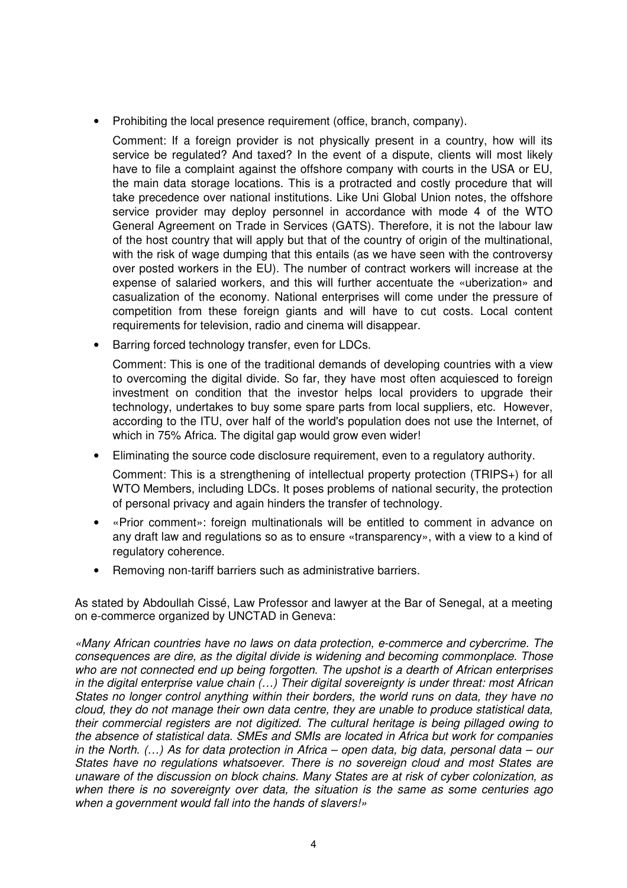• Prohibiting the local presence requirement (office, branch, company).

Comment: If a foreign provider is not physically present in a country, how will its service be regulated? And taxed? In the event of a dispute, clients will most likely have to file a complaint against the offshore company with courts in the USA or EU, the main data storage locations. This is a protracted and costly procedure that will take precedence over national institutions. Like Uni Global Union notes, the offshore service provider may deploy personnel in accordance with mode 4 of the WTO General Agreement on Trade in Services (GATS). Therefore, it is not the labour law of the host country that will apply but that of the country of origin of the multinational, with the risk of wage dumping that this entails (as we have seen with the controversy over posted workers in the EU). The number of contract workers will increase at the expense of salaried workers, and this will further accentuate the «uberization» and casualization of the economy. National enterprises will come under the pressure of competition from these foreign giants and will have to cut costs. Local content requirements for television, radio and cinema will disappear.

• Barring forced technology transfer, even for LDCs.

Comment: This is one of the traditional demands of developing countries with a view to overcoming the digital divide. So far, they have most often acquiesced to foreign investment on condition that the investor helps local providers to upgrade their technology, undertakes to buy some spare parts from local suppliers, etc. However, according to the ITU, over half of the world's population does not use the Internet, of which in 75% Africa. The digital gap would grow even wider!

• Eliminating the source code disclosure requirement, even to a regulatory authority.

Comment: This is a strengthening of intellectual property protection (TRIPS+) for all WTO Members, including LDCs. It poses problems of national security, the protection of personal privacy and again hinders the transfer of technology.

- «Prior comment»: foreign multinationals will be entitled to comment in advance on any draft law and regulations so as to ensure «transparency», with a view to a kind of regulatory coherence.
- Removing non-tariff barriers such as administrative barriers.

As stated by Abdoullah Cissé, Law Professor and lawyer at the Bar of Senegal, at a meeting on e-commerce organized by UNCTAD in Geneva:

«Many African countries have no laws on data protection, e-commerce and cybercrime. The consequences are dire, as the digital divide is widening and becoming commonplace. Those who are not connected end up being forgotten. The upshot is a dearth of African enterprises in the digital enterprise value chain (…) Their digital sovereignty is under threat: most African States no longer control anything within their borders, the world runs on data, they have no cloud, they do not manage their own data centre, they are unable to produce statistical data, their commercial registers are not digitized. The cultural heritage is being pillaged owing to the absence of statistical data. SMEs and SMIs are located in Africa but work for companies in the North. (…) As for data protection in Africa – open data, big data, personal data – our States have no regulations whatsoever. There is no sovereign cloud and most States are unaware of the discussion on block chains. Many States are at risk of cyber colonization, as when there is no sovereignty over data, the situation is the same as some centuries ago when a government would fall into the hands of slavers!»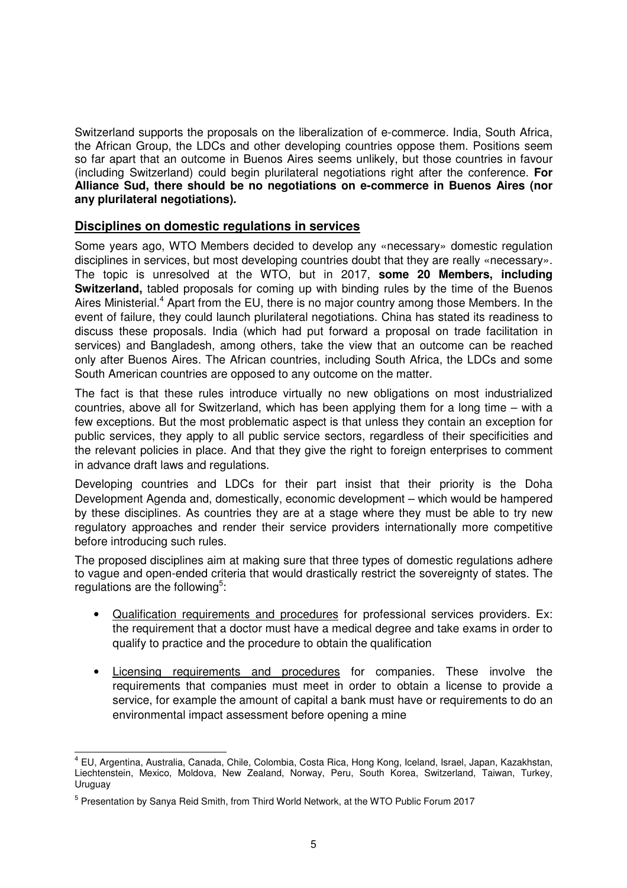Switzerland supports the proposals on the liberalization of e-commerce. India, South Africa, the African Group, the LDCs and other developing countries oppose them. Positions seem so far apart that an outcome in Buenos Aires seems unlikely, but those countries in favour (including Switzerland) could begin plurilateral negotiations right after the conference. **For Alliance Sud, there should be no negotiations on e-commerce in Buenos Aires (nor any plurilateral negotiations).** 

## **Disciplines on domestic regulations in services**

Some years ago, WTO Members decided to develop any «necessary» domestic regulation disciplines in services, but most developing countries doubt that they are really «necessary». The topic is unresolved at the WTO, but in 2017, **some 20 Members, including Switzerland,** tabled proposals for coming up with binding rules by the time of the Buenos Aires Ministerial.<sup>4</sup> Apart from the EU, there is no major country among those Members. In the event of failure, they could launch plurilateral negotiations. China has stated its readiness to discuss these proposals. India (which had put forward a proposal on trade facilitation in services) and Bangladesh, among others, take the view that an outcome can be reached only after Buenos Aires. The African countries, including South Africa, the LDCs and some South American countries are opposed to any outcome on the matter.

The fact is that these rules introduce virtually no new obligations on most industrialized countries, above all for Switzerland, which has been applying them for a long time – with a few exceptions. But the most problematic aspect is that unless they contain an exception for public services, they apply to all public service sectors, regardless of their specificities and the relevant policies in place. And that they give the right to foreign enterprises to comment in advance draft laws and regulations.

Developing countries and LDCs for their part insist that their priority is the Doha Development Agenda and, domestically, economic development – which would be hampered by these disciplines. As countries they are at a stage where they must be able to try new regulatory approaches and render their service providers internationally more competitive before introducing such rules.

The proposed disciplines aim at making sure that three types of domestic regulations adhere to vague and open-ended criteria that would drastically restrict the sovereignty of states. The regulations are the following<sup>5</sup>:

- Qualification requirements and procedures for professional services providers. Ex: the requirement that a doctor must have a medical degree and take exams in order to qualify to practice and the procedure to obtain the qualification
- Licensing requirements and procedures for companies. These involve the requirements that companies must meet in order to obtain a license to provide a service, for example the amount of capital a bank must have or requirements to do an environmental impact assessment before opening a mine

 4 EU, Argentina, Australia, Canada, Chile, Colombia, Costa Rica, Hong Kong, Iceland, Israel, Japan, Kazakhstan, Liechtenstein, Mexico, Moldova, New Zealand, Norway, Peru, South Korea, Switzerland, Taiwan, Turkey, Uruguay

<sup>&</sup>lt;sup>5</sup> Presentation by Sanya Reid Smith, from Third World Network, at the WTO Public Forum 2017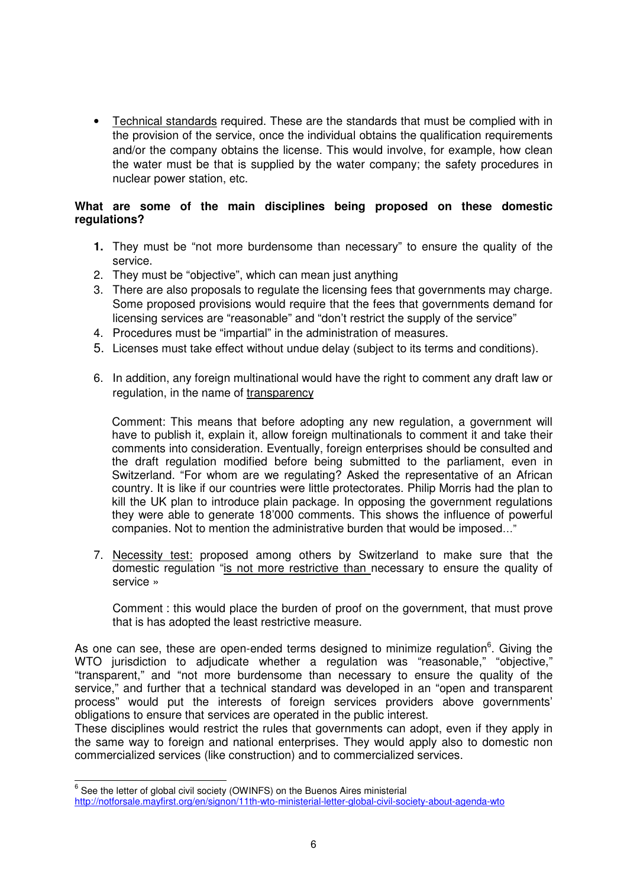• Technical standards required. These are the standards that must be complied with in the provision of the service, once the individual obtains the qualification requirements and/or the company obtains the license. This would involve, for example, how clean the water must be that is supplied by the water company; the safety procedures in nuclear power station, etc.

#### **What are some of the main disciplines being proposed on these domestic regulations?**

- **1.** They must be "not more burdensome than necessary" to ensure the quality of the service.
- 2. They must be "objective", which can mean just anything
- 3. There are also proposals to regulate the licensing fees that governments may charge. Some proposed provisions would require that the fees that governments demand for licensing services are "reasonable" and "don't restrict the supply of the service"
- 4. Procedures must be "impartial" in the administration of measures.
- 5. Licenses must take effect without undue delay (subject to its terms and conditions).
- 6. In addition, any foreign multinational would have the right to comment any draft law or regulation, in the name of transparency

Comment: This means that before adopting any new regulation, a government will have to publish it, explain it, allow foreign multinationals to comment it and take their comments into consideration. Eventually, foreign enterprises should be consulted and the draft regulation modified before being submitted to the parliament, even in Switzerland. "For whom are we regulating? Asked the representative of an African country. It is like if our countries were little protectorates. Philip Morris had the plan to kill the UK plan to introduce plain package. In opposing the government regulations they were able to generate 18'000 comments. This shows the influence of powerful companies. Not to mention the administrative burden that would be imposed…"

7. Necessity test: proposed among others by Switzerland to make sure that the domestic regulation "is not more restrictive than necessary to ensure the quality of service »

Comment : this would place the burden of proof on the government, that must prove that is has adopted the least restrictive measure.

As one can see, these are open-ended terms designed to minimize regulation $6$ . Giving the WTO jurisdiction to adjudicate whether a regulation was "reasonable," "objective," "transparent," and "not more burdensome than necessary to ensure the quality of the service," and further that a technical standard was developed in an "open and transparent process" would put the interests of foreign services providers above governments' obligations to ensure that services are operated in the public interest.

These disciplines would restrict the rules that governments can adopt, even if they apply in the same way to foreign and national enterprises. They would apply also to domestic non commercialized services (like construction) and to commercialized services.

<sup>&</sup>lt;sup>6</sup> See the letter of global civil society (OWINFS) on the Buenos Aires ministerial http://notforsale.mayfirst.org/en/signon/11th-wto-ministerial-letter-global-civil-society-about-agenda-wto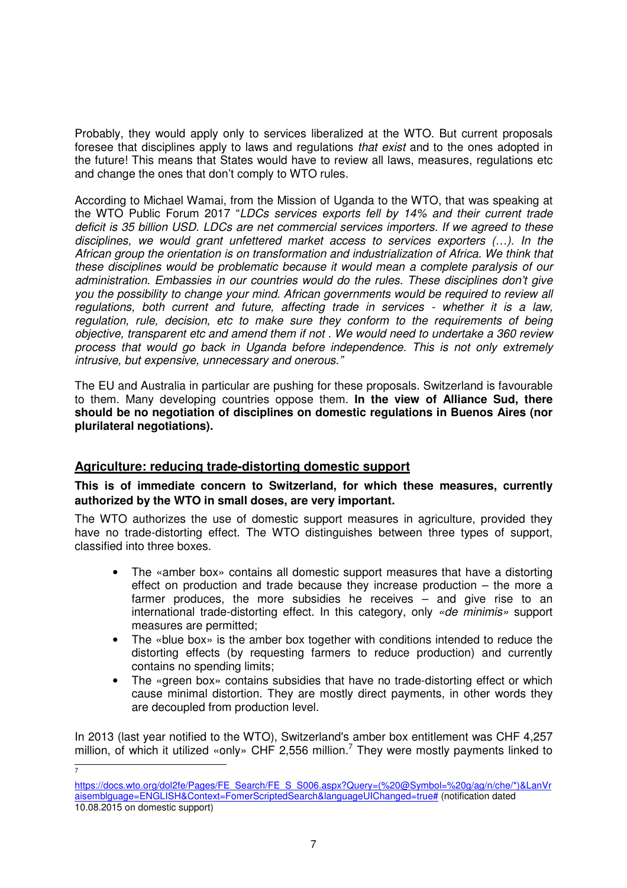Probably, they would apply only to services liberalized at the WTO. But current proposals foresee that disciplines apply to laws and regulations that exist and to the ones adopted in the future! This means that States would have to review all laws, measures, regulations etc and change the ones that don't comply to WTO rules.

According to Michael Wamai, from the Mission of Uganda to the WTO, that was speaking at the WTO Public Forum 2017 "LDCs services exports fell by 14% and their current trade deficit is 35 billion USD. LDCs are net commercial services importers. If we agreed to these disciplines, we would grant unfettered market access to services exporters (…). In the African group the orientation is on transformation and industrialization of Africa. We think that these disciplines would be problematic because it would mean a complete paralysis of our administration. Embassies in our countries would do the rules. These disciplines don't give you the possibility to change your mind. African governments would be required to review all regulations, both current and future, affecting trade in services - whether it is a law, regulation, rule, decision, etc to make sure they conform to the requirements of being objective, transparent etc and amend them if not . We would need to undertake a 360 review process that would go back in Uganda before independence. This is not only extremely intrusive, but expensive, unnecessary and onerous."

The EU and Australia in particular are pushing for these proposals. Switzerland is favourable to them. Many developing countries oppose them. **In the view of Alliance Sud, there should be no negotiation of disciplines on domestic regulations in Buenos Aires (nor plurilateral negotiations).** 

# **Agriculture: reducing trade-distorting domestic support**

 $\overline{a}$ 7

**This is of immediate concern to Switzerland, for which these measures, currently authorized by the WTO in small doses, are very important.** 

The WTO authorizes the use of domestic support measures in agriculture, provided they have no trade-distorting effect. The WTO distinguishes between three types of support, classified into three boxes.

- The «amber box» contains all domestic support measures that have a distorting effect on production and trade because they increase production – the more a farmer produces, the more subsidies he receives – and give rise to an international trade-distorting effect. In this category, only «de minimis» support measures are permitted;
- The «blue box» is the amber box together with conditions intended to reduce the distorting effects (by requesting farmers to reduce production) and currently contains no spending limits;
- The «green box» contains subsidies that have no trade-distorting effect or which cause minimal distortion. They are mostly direct payments, in other words they are decoupled from production level.

In 2013 (last year notified to the WTO), Switzerland's amber box entitlement was CHF 4,257 million, of which it utilized «only» CHF 2,556 million.<sup>7</sup> They were mostly payments linked to

https://docs.wto.org/dol2fe/Pages/FE\_Search/FE\_S\_S006.aspx?Query=(%20@Symbol=%20g/ag/n/che/\*)&LanVr aisemblguage=ENGLISH&Context=FomerScriptedSearch&languageUIChanged=true# (notification dated 10.08.2015 on domestic support)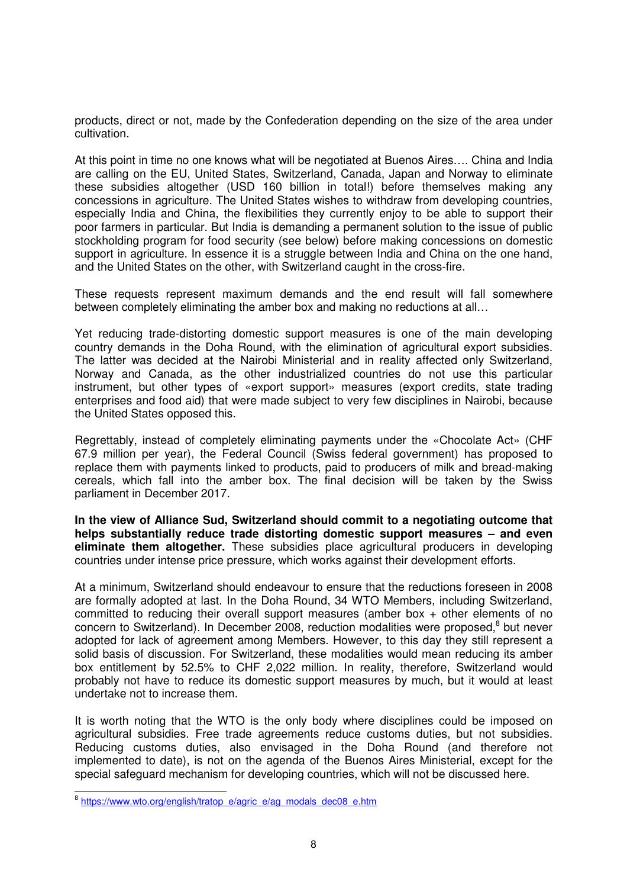products, direct or not, made by the Confederation depending on the size of the area under cultivation.

At this point in time no one knows what will be negotiated at Buenos Aires…. China and India are calling on the EU, United States, Switzerland, Canada, Japan and Norway to eliminate these subsidies altogether (USD 160 billion in total!) before themselves making any concessions in agriculture. The United States wishes to withdraw from developing countries, especially India and China, the flexibilities they currently enjoy to be able to support their poor farmers in particular. But India is demanding a permanent solution to the issue of public stockholding program for food security (see below) before making concessions on domestic support in agriculture. In essence it is a struggle between India and China on the one hand, and the United States on the other, with Switzerland caught in the cross-fire.

These requests represent maximum demands and the end result will fall somewhere between completely eliminating the amber box and making no reductions at all…

Yet reducing trade-distorting domestic support measures is one of the main developing country demands in the Doha Round, with the elimination of agricultural export subsidies. The latter was decided at the Nairobi Ministerial and in reality affected only Switzerland, Norway and Canada, as the other industrialized countries do not use this particular instrument, but other types of «export support» measures (export credits, state trading enterprises and food aid) that were made subject to very few disciplines in Nairobi, because the United States opposed this.

Regrettably, instead of completely eliminating payments under the «Chocolate Act» (CHF 67.9 million per year), the Federal Council (Swiss federal government) has proposed to replace them with payments linked to products, paid to producers of milk and bread-making cereals, which fall into the amber box. The final decision will be taken by the Swiss parliament in December 2017.

**In the view of Alliance Sud, Switzerland should commit to a negotiating outcome that helps substantially reduce trade distorting domestic support measures – and even eliminate them altogether.** These subsidies place agricultural producers in developing countries under intense price pressure, which works against their development efforts.

At a minimum, Switzerland should endeavour to ensure that the reductions foreseen in 2008 are formally adopted at last. In the Doha Round, 34 WTO Members, including Switzerland, committed to reducing their overall support measures (amber box  $+$  other elements of no concern to Switzerland). In December 2008, reduction modalities were proposed,<sup>8</sup> but never adopted for lack of agreement among Members. However, to this day they still represent a solid basis of discussion. For Switzerland, these modalities would mean reducing its amber box entitlement by 52.5% to CHF 2,022 million. In reality, therefore, Switzerland would probably not have to reduce its domestic support measures by much, but it would at least undertake not to increase them.

It is worth noting that the WTO is the only body where disciplines could be imposed on agricultural subsidies. Free trade agreements reduce customs duties, but not subsidies. Reducing customs duties, also envisaged in the Doha Round (and therefore not implemented to date), is not on the agenda of the Buenos Aires Ministerial, except for the special safeguard mechanism for developing countries, which will not be discussed here.

<sup>8&</sup>lt;br>8 https://www.wto.org/english/tratop\_e/agric\_e/ag\_modals\_dec08\_e.htm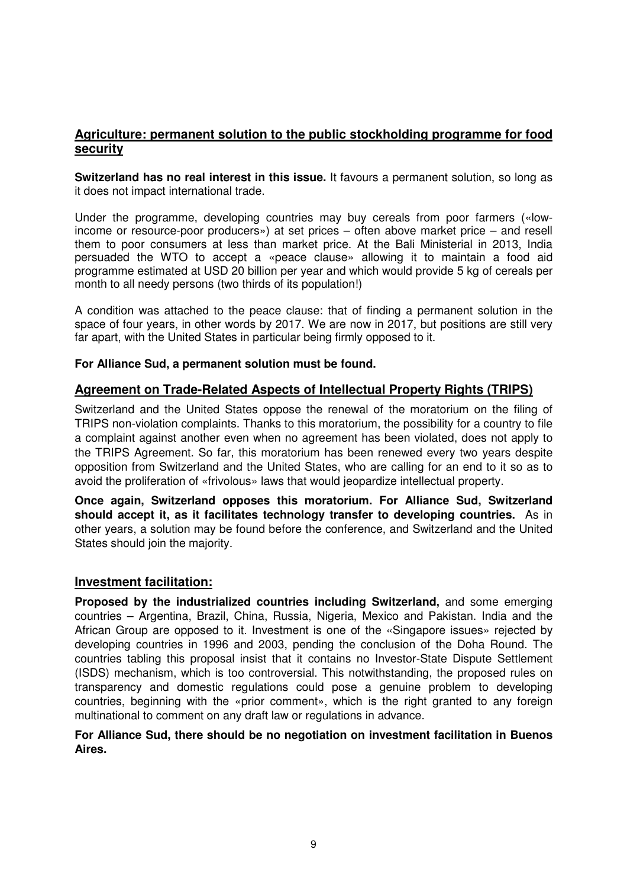# **Agriculture: permanent solution to the public stockholding programme for food security**

**Switzerland has no real interest in this issue.** It favours a permanent solution, so long as it does not impact international trade.

Under the programme, developing countries may buy cereals from poor farmers («lowincome or resource-poor producers») at set prices – often above market price – and resell them to poor consumers at less than market price. At the Bali Ministerial in 2013, India persuaded the WTO to accept a «peace clause» allowing it to maintain a food aid programme estimated at USD 20 billion per year and which would provide 5 kg of cereals per month to all needy persons (two thirds of its population!)

A condition was attached to the peace clause: that of finding a permanent solution in the space of four years, in other words by 2017. We are now in 2017, but positions are still very far apart, with the United States in particular being firmly opposed to it.

#### **For Alliance Sud, a permanent solution must be found.**

#### **Agreement on Trade-Related Aspects of Intellectual Property Rights (TRIPS)**

Switzerland and the United States oppose the renewal of the moratorium on the filing of TRIPS non-violation complaints. Thanks to this moratorium, the possibility for a country to file a complaint against another even when no agreement has been violated, does not apply to the TRIPS Agreement. So far, this moratorium has been renewed every two years despite opposition from Switzerland and the United States, who are calling for an end to it so as to avoid the proliferation of «frivolous» laws that would jeopardize intellectual property.

**Once again, Switzerland opposes this moratorium. For Alliance Sud, Switzerland should accept it, as it facilitates technology transfer to developing countries.** As in other years, a solution may be found before the conference, and Switzerland and the United States should join the majority.

#### **Investment facilitation:**

**Proposed by the industrialized countries including Switzerland,** and some emerging countries – Argentina, Brazil, China, Russia, Nigeria, Mexico and Pakistan. India and the African Group are opposed to it. Investment is one of the «Singapore issues» rejected by developing countries in 1996 and 2003, pending the conclusion of the Doha Round. The countries tabling this proposal insist that it contains no Investor-State Dispute Settlement (ISDS) mechanism, which is too controversial. This notwithstanding, the proposed rules on transparency and domestic regulations could pose a genuine problem to developing countries, beginning with the «prior comment», which is the right granted to any foreign multinational to comment on any draft law or regulations in advance.

**For Alliance Sud, there should be no negotiation on investment facilitation in Buenos Aires.**